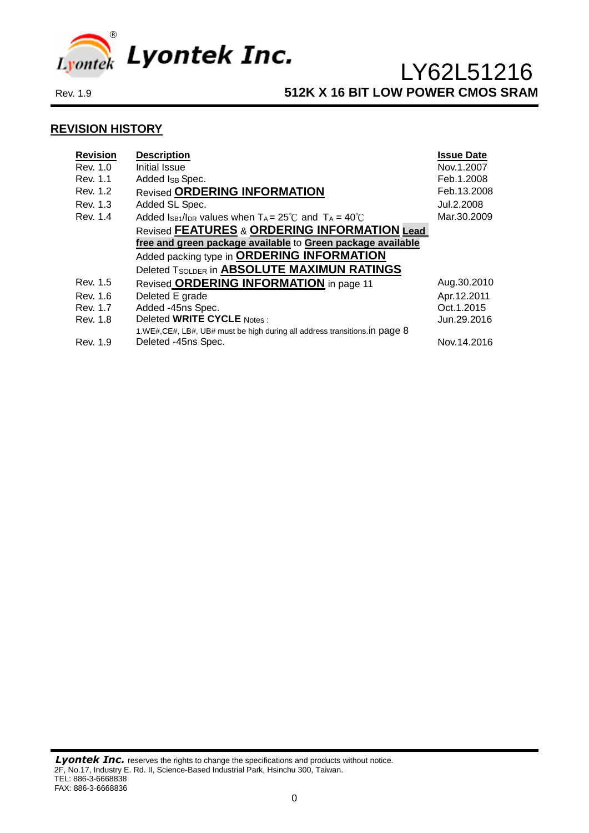

### **REVISION HISTORY**

| <b>Revision</b><br>Rev. 1.0 | <b>Description</b><br>Initial Issue                                         | <b>Issue Date</b><br>Nov.1.2007 |
|-----------------------------|-----------------------------------------------------------------------------|---------------------------------|
| Rev. 1.1                    | Added Is Spec.                                                              | Feb.1.2008                      |
| Rev. 1.2                    | <b>Revised ORDERING INFORMATION</b>                                         | Feb.13.2008                     |
| Rev. 1.3                    | Added SL Spec.                                                              | Jul.2.2008                      |
| Rev. 1.4                    | Added Is B1/IDR values when $T_A = 25^{\circ}$ C and $T_A = 40^{\circ}$ C   | Mar.30.2009                     |
|                             | <b>Revised FEATURES &amp; ORDERING INFORMATION Lead</b>                     |                                 |
|                             | free and green package available to Green package available                 |                                 |
|                             | Added packing type in ORDERING INFORMATION                                  |                                 |
|                             | Deleted TSOLDER in ABSOLUTE MAXIMUN RATINGS                                 |                                 |
| Rev. 1.5                    | Revised ORDERING INFORMATION in page 11                                     | Aug.30.2010                     |
| Rev. 1.6                    | Deleted E grade                                                             | Apr.12.2011                     |
| Rev. 1.7                    | Added -45ns Spec.                                                           | Oct.1.2015                      |
| Rev. 1.8                    | Deleted WRITE CYCLE Notes:                                                  | Jun.29.2016                     |
|                             | 1.WE#, CE#, LB#, UB# must be high during all address transitions. in page 8 |                                 |
| Rev. 1.9                    | Deleted -45ns Spec.                                                         | Nov. 14.2016                    |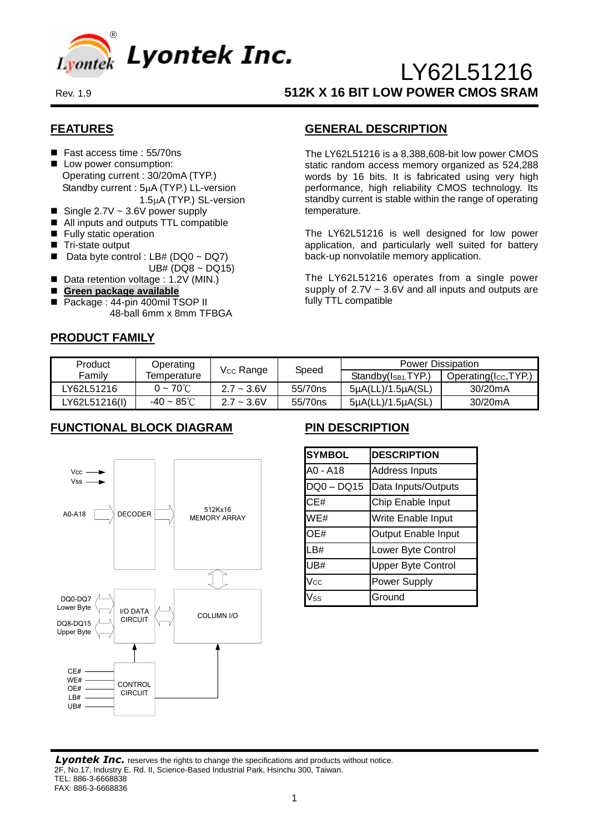

### **FEATURES**

- Fast access time : 55/70ns
- Low power consumption: Operating current : 30/20mA (TYP.) Standby current :  $5\mu$ A (TYP.) LL-version 1.5µA (TYP.) SL-version
- Single  $2.7V \sim 3.6V$  power supply
- All inputs and outputs TTL compatible
- **Fully static operation**
- Tri-state output
- Data byte control : LB# (DQ0 ~ DQ7) UB# (DQ8 ~ DQ15)
- Data retention voltage : 1.2V (MIN.)
- **Green package available**
- Package : 44-pin 400mil TSOP II 48-ball 6mm x 8mm TFBGA

### **PRODUCT FAMILY**

### **GENERAL DESCRIPTION**

The LY62L51216 is a 8,388,608-bit low power CMOS static random access memory organized as 524,288 words by 16 bits. It is fabricated using very high performance, high reliability CMOS technology. Its standby current is stable within the range of operating temperature.

The LY62L51216 is well designed for low power application, and particularly well suited for battery back-up nonvolatile memory application.

The LY62L51216 operates from a single power supply of  $2.7V \sim 3.6V$  and all inputs and outputs are fully TTL compatible

| Product       | Operating               |                       |         | <b>Power Dissipation</b>                 |                      |  |  |
|---------------|-------------------------|-----------------------|---------|------------------------------------------|----------------------|--|--|
| Familv        | Temperature             | V <sub>cc</sub> Range | Speed   | Standby(I <sub>SB1</sub> , <i>TYP</i> ,) | Operating(Icc, TYP.) |  |  |
| LY62L51216    | $0 - 70^{\circ}$ C      | $2.7 - 3.6V$          | 55/70ns | $5\mu A (LL)/1.5\mu A (SL)$              | 30/20mA              |  |  |
| LY62L51216(I) | $-40 \sim 85^{\circ}$ C | $2.7 - 3.6V$          | 55/70ns | $5\mu A (LL)/1.5\mu A (SL)$              | 30/20mA              |  |  |

# **FUNCTIONAL BLOCK DIAGRAM**



# **PIN DESCRIPTION**

| <b>SYMBOL</b> | <b>DESCRIPTION</b>         |
|---------------|----------------------------|
| A0 - A18      | <b>Address Inputs</b>      |
| DQ0-DQ15      | Data Inputs/Outputs        |
| CE#           | Chip Enable Input          |
| WE#           | Write Enable Input         |
| OE#           | <b>Output Enable Input</b> |
| LB#           | Lower Byte Control         |
| UB#           | <b>Upper Byte Control</b>  |
| Vcc           | <b>Power Supply</b>        |
| /ss           | Ground                     |

**Lyontek Inc.** reserves the rights to change the specifications and products without notice. 2F, No.17, Industry E. Rd. II, Science-Based Industrial Park, Hsinchu 300, Taiwan. TEL: 886-3-6668838 FAX: 886-3-6668836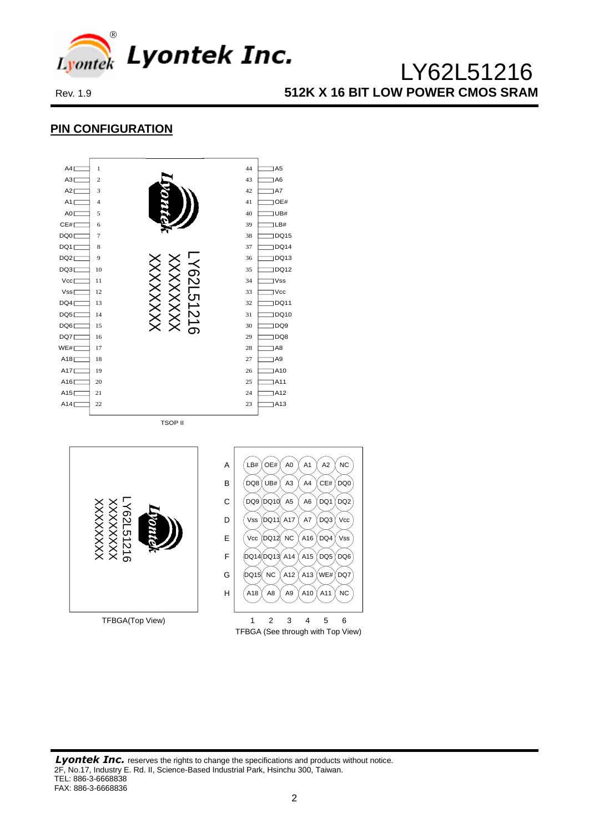

# **PIN CONFIGURATION**





**Lyontek Inc.** reserves the rights to change the specifications and products without notice. 2F, No.17, Industry E. Rd. II, Science-Based Industrial Park, Hsinchu 300, Taiwan. TEL: 886-3-6668838 FAX: 886-3-6668836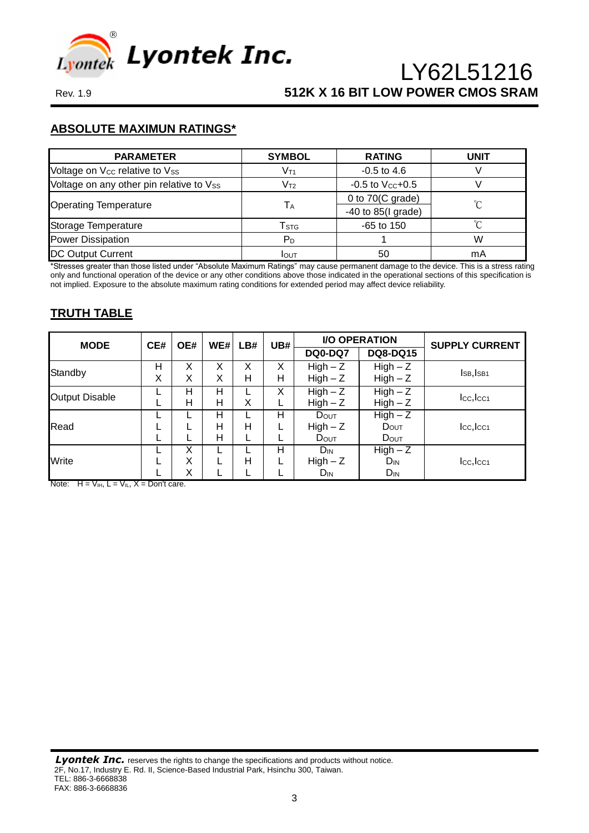

### **ABSOLUTE MAXIMUN RATINGS\***

| <b>PARAMETER</b>                         | <b>SYMBOL</b>               | <b>RATING</b>              | <b>UNIT</b> |  |
|------------------------------------------|-----------------------------|----------------------------|-------------|--|
| Voltage on Vcc relative to Vss           | V <sub>T1</sub>             | $-0.5$ to 4.6              |             |  |
| Voltage on any other pin relative to Vss | V <sub>T2</sub>             | $-0.5$ to $V_{CC}+0.5$     |             |  |
|                                          |                             | 0 to $70(C \text{ grade})$ | ′∩°         |  |
| <b>Operating Temperature</b>             | Tа                          | $-40$ to 85(I grade)       |             |  |
| Storage Temperature                      | $\mathsf{T}_{\textsf{STG}}$ | $-65$ to 150               | ∽           |  |
| <b>Power Dissipation</b>                 | P <sub>D</sub>              |                            | W           |  |
| <b>DC Output Current</b>                 | IOUT                        | 50                         | mA          |  |

\*Stresses greater than those listed under "Absolute Maximum Ratings" may cause permanent damage to the device. This is a stress rating only and functional operation of the device or any other conditions above those indicated in the operational sections of this specification is not implied. Exposure to the absolute maximum rating conditions for extended period may affect device reliability.

# **TRUTH TABLE**

| <b>MODE</b>           | CE#    | UB#<br>WE#<br>OE#<br>LB#  |        | <b>I/O OPERATION</b> |                       | <b>SUPPLY CURRENT</b>    |                          |               |
|-----------------------|--------|---------------------------|--------|----------------------|-----------------------|--------------------------|--------------------------|---------------|
|                       |        |                           |        |                      |                       | <b>DQ0-DQ7</b>           | <b>DQ8-DQ15</b>          |               |
| Standby               | н<br>Χ | X<br>Χ                    | X<br>X | X<br>н               | Χ<br>н                | $High - Z$<br>$High - Z$ | $High - Z$<br>$High - Z$ | ISB, ISB1     |
| <b>Output Disable</b> |        | $High - Z$<br>X<br>н<br>Н |        | $High - Z$           | Icc, Icc <sub>1</sub> |                          |                          |               |
|                       |        | н                         | Н      | X                    | L                     | $High - Z$               | $High - Z$               |               |
| Read                  |        |                           | н<br>н | н                    | н                     | DOUT<br>$High - Z$       | $High - Z$<br>DOUT       | $Icc,$ $Icc1$ |
|                       |        |                           | н      |                      |                       | <b>D</b> out             | DOUT                     |               |
|                       |        | X                         |        |                      | н                     | $D_{IN}$                 | $High - Z$               |               |
| Write                 |        | X                         |        | н                    |                       | $High - Z$               | $D_{IN}$                 | $Icc,$ $Icc1$ |
|                       |        | Χ                         |        |                      |                       | $D_{IN}$                 | $D_{IN}$                 |               |

Note:  $H = V_{\text{IH}}$ ,  $L = V_{\text{IL}}$ ,  $X = \text{Don't care.}$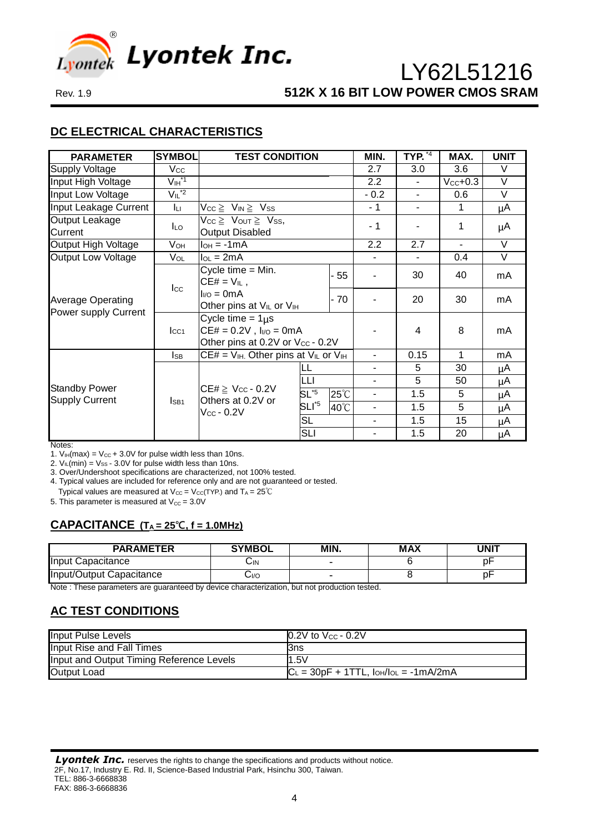

# **DC ELECTRICAL CHARACTERISTICS**

| <b>PARAMETER</b>                                 | <b>SYMBOL</b>                        | <b>TEST CONDITION</b>                                                                       |                  |                | MIN.             | TYP. $\overline{4}$ | MAX.           | <b>UNIT</b> |
|--------------------------------------------------|--------------------------------------|---------------------------------------------------------------------------------------------|------------------|----------------|------------------|---------------------|----------------|-------------|
| <b>Supply Voltage</b>                            | <b>Vcc</b>                           |                                                                                             |                  |                | 2.7              | 3.0                 | 3.6            | V           |
| Input High Voltage                               | $V_{\text{IH}}^{\star \overline{1}}$ |                                                                                             |                  |                | $2.2\phantom{0}$ | $\blacksquare$      | $Vcc+0.3$      | V           |
| Input Low Voltage                                | $V_{IL}^*$ <sup>2</sup>              |                                                                                             |                  |                | $-0.2$           | $\blacksquare$      | 0.6            | $\vee$      |
| Input Leakage Current                            | Iц                                   | $V_{CC} \geq V_{IN} \geq V_{SS}$                                                            |                  |                | - 1              |                     | 1              | μA          |
| Output Leakage<br>Current                        | <b>ILO</b>                           | $V_{CC} \geq V_{OUT} \geq V_{SS}$<br><b>Output Disabled</b>                                 |                  |                | - 1              |                     | 1              | μA          |
| Output High Voltage                              | Vон                                  | $I_{OH} = -1mA$                                                                             |                  |                | 2.2              | 2.7                 | $\blacksquare$ | V           |
| Output Low Voltage                               | Vol                                  | $I_{OL} = 2mA$                                                                              |                  |                |                  |                     | 0.4            | V           |
|                                                  | $_{\rm lcc}$                         | Cycle time $=$ Min.<br>$CE# = V_{IL}$ ,                                                     |                  | $-55$          |                  | 30                  | 40             | mA          |
| <b>Average Operating</b><br>Power supply Current |                                      | $I_{VQ} = 0mA$<br>Other pins at V <sub>IL</sub> or V <sub>IH</sub>                          |                  | $-70$          |                  | 20                  | 30             | mA          |
|                                                  | $_{\text{LCA}}$                      | Cycle time = $1\mu s$<br>$CE# = 0.2V$ , $I_{I/O} = 0mA$<br>Other pins at 0.2V or Vcc - 0.2V |                  |                |                  | 4                   | 8              | mA          |
|                                                  | $\mathsf{ls}_\mathsf{B}$             | $CE# = V_{IH}$ . Other pins at $V_{IL}$ or $V_{IH}$                                         |                  |                | ÷.               | 0.15                | 1              | mA          |
|                                                  |                                      |                                                                                             |                  |                | Ξ.               | 5                   | 30             | μA          |
|                                                  |                                      |                                                                                             | LLI              |                | Ξ.               | 5                   | 50             | μA          |
| <b>Standby Power</b><br><b>Supply Current</b>    | ISB <sub>1</sub>                     | $CE# \geq V_{CC} - 0.2V$<br>Others at 0.2V or                                               | $SL^{5}$         | $25^{\circ}$ C | Ξ.               | 1.5                 | 5              | μA          |
|                                                  |                                      | $\rm V_{CC}$ - $0.2\rm V$                                                                   | SLI <sup>5</sup> | 40°C           | ٠                | 1.5                 | 5              | μA          |
|                                                  |                                      |                                                                                             | <b>SL</b>        |                | ÷.               | 1.5                 | 15             | μA          |
|                                                  |                                      |                                                                                             | <b>SLI</b>       |                |                  | 1.5                 | 20             | μA          |

Notes:

1.  $V_{IH}(max) = V_{CC} + 3.0V$  for pulse width less than 10ns.

2.  $V_{IL}(min) = V_{SS} - 3.0V$  for pulse width less than 10ns. 3. Over/Undershoot specifications are characterized, not 100% tested.

4. Typical values are included for reference only and are not guaranteed or tested.

Typical values are measured at  $V_{CC} = V_{CC}(TYP)$  and  $T_A = 25^{\circ}C$ 

5. This parameter is measured at  $V_{\text{CC}} = 3.0V$ 

# **CAPACITANCE (T<sup>A</sup> = 25℃, f = 1.0MHz)**

| <b>PARAMETER</b>         | <b>SYMBOL</b> | MIN. | <b>MAX</b> | UNIT |
|--------------------------|---------------|------|------------|------|
| Input Capacitance        | ال            |      |            |      |
| Input/Output Capacitance | 0/اب          | -    |            |      |

Note : These parameters are guaranteed by device characterization, but not production tested.

# **AC TEST CONDITIONS**

| <b>Input Pulse Levels</b>                | $0.2V$ to $V_{CC}$ - 0.2V                         |
|------------------------------------------|---------------------------------------------------|
| Input Rise and Fall Times                | l3ns                                              |
| Input and Output Timing Reference Levels | 1.5V                                              |
| <b>Output Load</b>                       | $ C_L = 30pF + 1TTL$ , $I_{OH}/I_{OL} = -1mA/2mA$ |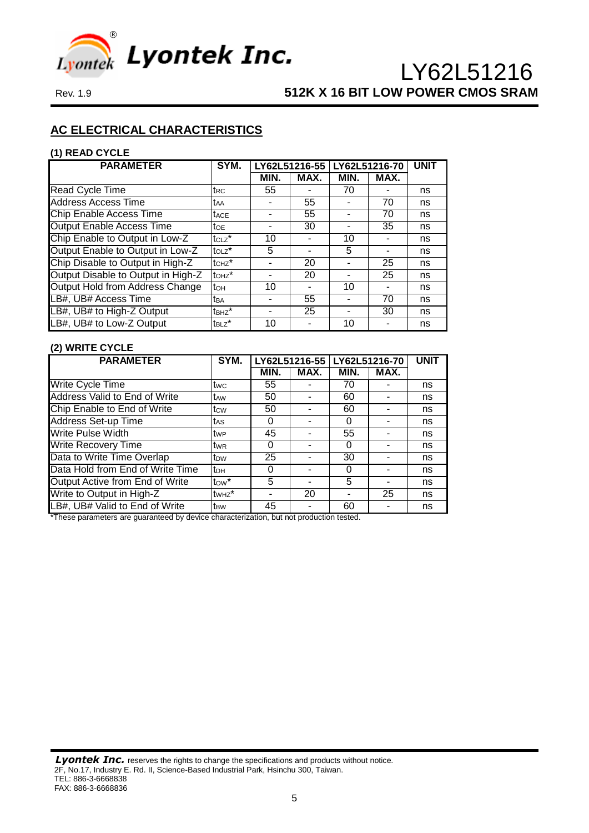

# **AC ELECTRICAL CHARACTERISTICS**

#### **(1) READ CYCLE**

| <b>PARAMETER</b>                   | SYM.                              |      |      |      | LY62L51216-55 LY62L51216-70 |    |
|------------------------------------|-----------------------------------|------|------|------|-----------------------------|----|
|                                    |                                   | MIN. | MAX. | MIN. | MAX.                        |    |
| Read Cycle Time                    | trc                               | 55   |      | 70   |                             | ns |
| <b>Address Access Time</b>         | taa                               |      | 55   |      | 70                          | ns |
| Chip Enable Access Time            | <b>t</b> ACE                      |      | 55   |      | 70                          | ns |
| <b>Output Enable Access Time</b>   | toe                               |      | 30   |      | 35                          | ns |
| Chip Enable to Output in Low-Z     | $tcLz$ *                          | 10   |      | 10   |                             | ns |
| Output Enable to Output in Low-Z   | $t$ <sub>OLZ</sub> $\overline{t}$ | 5    |      | 5    |                             | ns |
| Chip Disable to Output in High-Z   | tc <sub>Hz</sub> *                |      | 20   |      | 25                          | ns |
| Output Disable to Output in High-Z | to <sub>Hz</sub> *                |      | 20   |      | 25                          | ns |
| Output Hold from Address Change    | tон                               | 10   |      | 10   |                             | ns |
| LB#, UB# Access Time               | tba                               |      | 55   |      | 70                          | ns |
| LB#, UB# to High-Z Output          | $t_{BHZ}$                         |      | 25   |      | 30                          | ns |
| LB#, UB# to Low-Z Output           | t <sub>BLZ</sub> *                | 10   |      | 10   |                             | ns |

#### **(2) WRITE CYCLE**

| <b>PARAMETER</b>                     | SYM.               | LY62L51216-55   LY62L51216-70 |      |      | <b>UNIT</b> |    |
|--------------------------------------|--------------------|-------------------------------|------|------|-------------|----|
|                                      |                    | MIN.                          | MAX. | MIN. | MAX.        |    |
| Write Cycle Time                     | twc                | 55                            |      | 70   |             | ns |
| <b>Address Valid to End of Write</b> | t <sub>AW</sub>    | 50                            |      | 60   |             | ns |
| Chip Enable to End of Write          | tcw                | 50                            |      | 60   |             | ns |
| <b>Address Set-up Time</b>           | tas                | 0                             |      | 0    |             | ns |
| <b>Write Pulse Width</b>             | twe                | 45                            |      | 55   |             | ns |
| <b>Write Recovery Time</b>           | twr                | 0                             |      | 0    |             | ns |
| Data to Write Time Overlap           | t <sub>ow</sub>    | 25                            |      | 30   |             | ns |
| Data Hold from End of Write Time     | Iрн                | 0                             |      | 0    |             | ns |
| Output Active from End of Write      | $t_{\text{OW}}$ *  | 5                             |      | 5    |             | ns |
| Write to Output in High-Z            | tw <sub>Hz</sub> * |                               | 20   |      | 25          | ns |
| LB#, UB# Valid to End of Write       | t <sub>BW</sub>    | 45                            |      | 60   |             | ns |

\*These parameters are guaranteed by device characterization, but not production tested.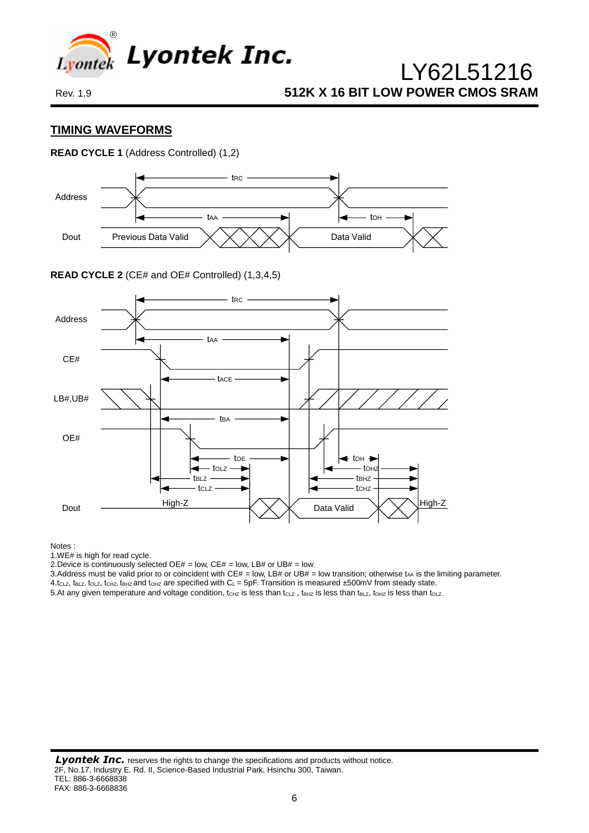

### **TIMING WAVEFORMS**

### **READ CYCLE 1** (Address Controlled) (1,2)



#### **READ CYCLE 2** (CE# and OE# Controlled) (1,3,4,5)



#### Notes :

1.WE# is high for read cycle.

2. Device is continuously selected OE# = low, CE# = low, LB# or UB# = low.

3.Address must be valid prior to or coincident with CE# = low, LB# or UB# = low transition; otherwise tAA is the limiting parameter.

4.tcLz, tBLZ, toLZ, tcHz, tBHz and toHz are specified with  $C_L = 5pF$ . Transition is measured  $\pm 500mV$  from steady state.

5. At any given temperature and voltage condition,  $t_{CHZ}$  is less than  $t_{CLZ}$ ,  $t_{BLZ}$  is less than t $t_{BLZ}$ ,  $t_{OLZ}$  is less than to  $LZ$ .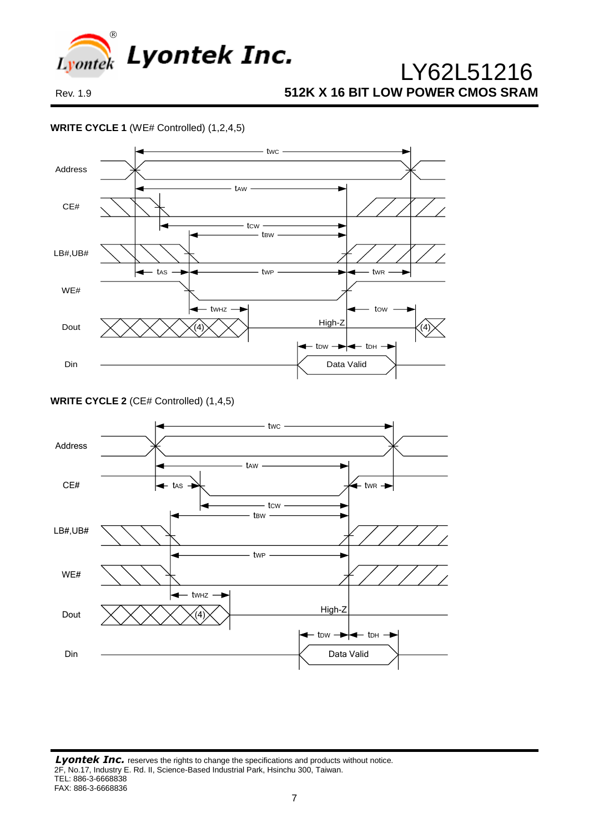

### **WRITE CYCLE 1** (WE# Controlled) (1,2,4,5)



**WRITE CYCLE 2** (CE# Controlled) (1,4,5)

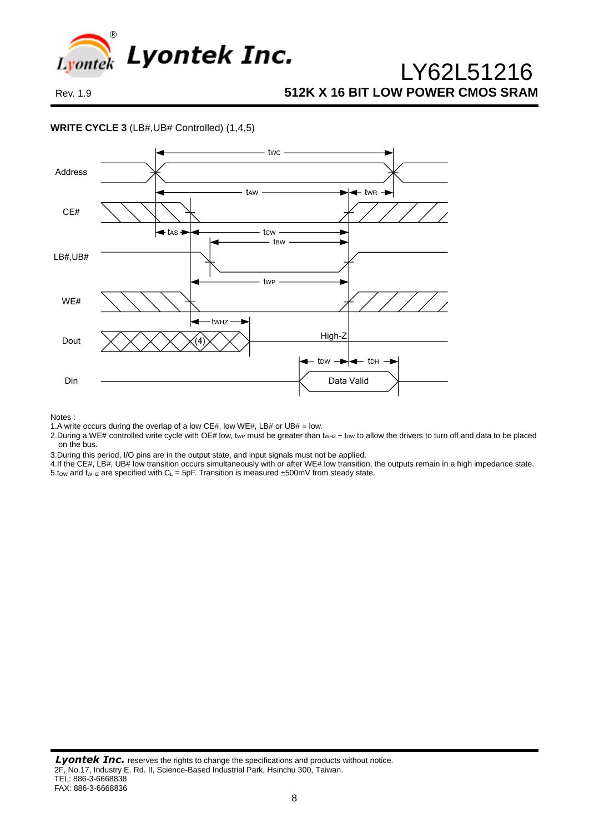

#### **WRITE CYCLE 3** (LB#,UB# Controlled) (1,4,5)



Notes :

1.A write occurs during the overlap of a low CE#, low WE#, LB# or UB# = low.

- 2. During a WE# controlled write cycle with OE# low, twp must be greater than twHZ + tow to allow the drivers to turn off and data to be placed on the bus.
- 3.During this period, I/O pins are in the output state, and input signals must not be applied.
- 4.If the CE#, LB#, UB# low transition occurs simultaneously with or after WE# low transition, the outputs remain in a high impedance state.
- $5.$ tow and tw<sub>Hz</sub> are specified with  $C_L = 5pF$ . Transition is measured  $\pm 500mV$  from steady state.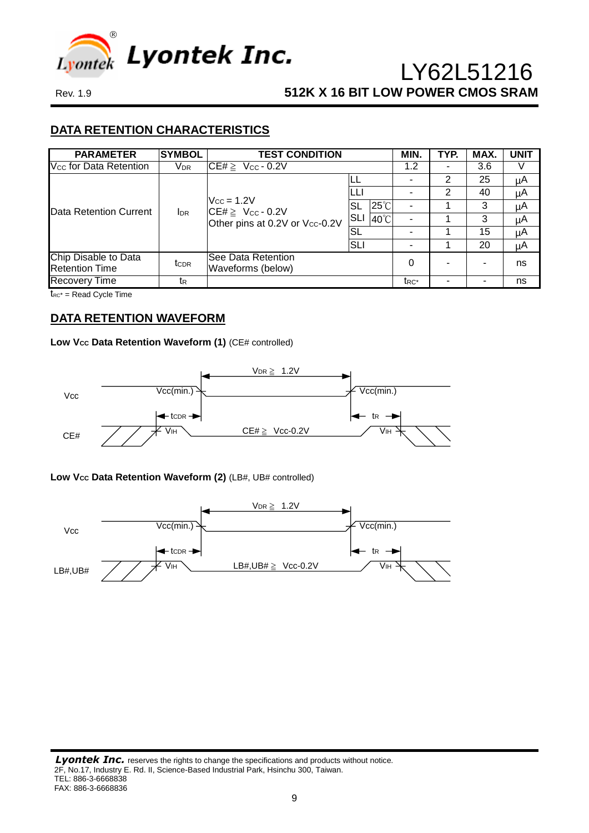

# **DATA RETENTION CHARACTERISTICS**

| <b>PARAMETER</b>                              | <b>SYMBOL</b>          | <b>TEST CONDITION</b>                                                         |                       | MIN.              | TYP. | MAX. | <b>UNIT</b> |
|-----------------------------------------------|------------------------|-------------------------------------------------------------------------------|-----------------------|-------------------|------|------|-------------|
| V <sub>cc</sub> for Data Retention            | <b>V</b> <sub>DR</sub> | $CE# \geq$<br>$V_{CC} - 0.2V$                                                 |                       | 1.2               |      | 3.6  |             |
| Data Retention Current                        |                        |                                                                               | LL                    | -                 | 2    | 25   | μA          |
|                                               |                        |                                                                               |                       |                   | 2    | 40   | μA          |
|                                               | <b>I</b> <sub>DR</sub> | $V_{CC} = 1.2V$<br>$CE# \geq V_{CC} - 0.2V$<br>Other pins at 0.2V or Vcc-0.2V | $25^{\circ}$ C<br>SL  |                   |      |      | μA          |
|                                               |                        |                                                                               | SLI<br>$40^{\circ}$ C |                   |      | 3    | μA          |
|                                               |                        |                                                                               | <b>SL</b>             |                   |      | 15   | μA          |
|                                               |                        |                                                                               | SLI                   |                   |      | 20   | μA          |
| Chip Disable to Data<br><b>Retention Time</b> | tc <sub>DR</sub>       | See Data Retention<br>Waveforms (below)                                       |                       | 0                 |      |      | ns          |
| <b>Recovery Time</b>                          | tr                     |                                                                               |                       | t <sub>RC</sub> * |      |      | ns          |

 $t_{RC^*}$  = Read Cycle Time

### **DATA RETENTION WAVEFORM**

### Low V<sub>cc</sub> Data Retention Waveform (1) (CE# controlled)



### **Low VCC Data Retention Waveform (2)** (LB#, UB# controlled)

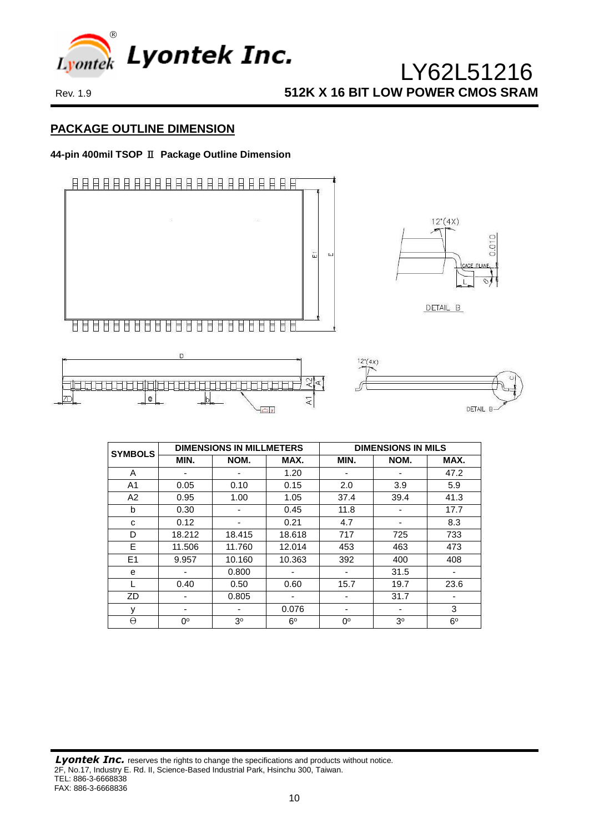

# **PACKAGE OUTLINE DIMENSION**

### **44-pin 400mil TSOP** Ⅱ **Package Outline Dimension**



| <b>SYMBOLS</b> |        | <b>DIMENSIONS IN MILLMETERS</b> |             |      | <b>DIMENSIONS IN MILS</b> |                          |  |  |
|----------------|--------|---------------------------------|-------------|------|---------------------------|--------------------------|--|--|
|                | MIN.   | NOM.                            | MAX.        | MIN. | NOM.                      | MAX.                     |  |  |
| A              |        | -                               | 1.20        |      |                           | 47.2                     |  |  |
| A <sub>1</sub> | 0.05   | 0.10                            | 0.15        | 2.0  | 3.9                       | 5.9                      |  |  |
| A2             | 0.95   | 1.00                            | 1.05        | 37.4 | 39.4                      | 41.3                     |  |  |
| b              | 0.30   | -                               | 0.45        | 11.8 |                           | 17.7                     |  |  |
| C              | 0.12   | -                               | 0.21        | 4.7  | $\blacksquare$            | 8.3                      |  |  |
| D              | 18.212 | 18.415                          | 18.618      | 717  | 725                       | 733                      |  |  |
| E              | 11.506 | 11.760                          | 12.014      | 453  | 463                       | 473                      |  |  |
| E1             | 9.957  | 10.160                          | 10.363      | 392  | 400                       | 408                      |  |  |
| e              |        | 0.800                           | ۰           | -    | 31.5                      | $\overline{\phantom{a}}$ |  |  |
|                | 0.40   | 0.50                            | 0.60        | 15.7 | 19.7                      | 23.6                     |  |  |
| ZD             |        | 0.805                           | -           |      | 31.7                      | -                        |  |  |
| y              |        | ۰                               | 0.076       | -    |                           | 3                        |  |  |
| $\Theta$       | 0°     | 3 <sup>o</sup>                  | $6^{\circ}$ | 0°   | 3 <sup>o</sup>            | $6^{\circ}$              |  |  |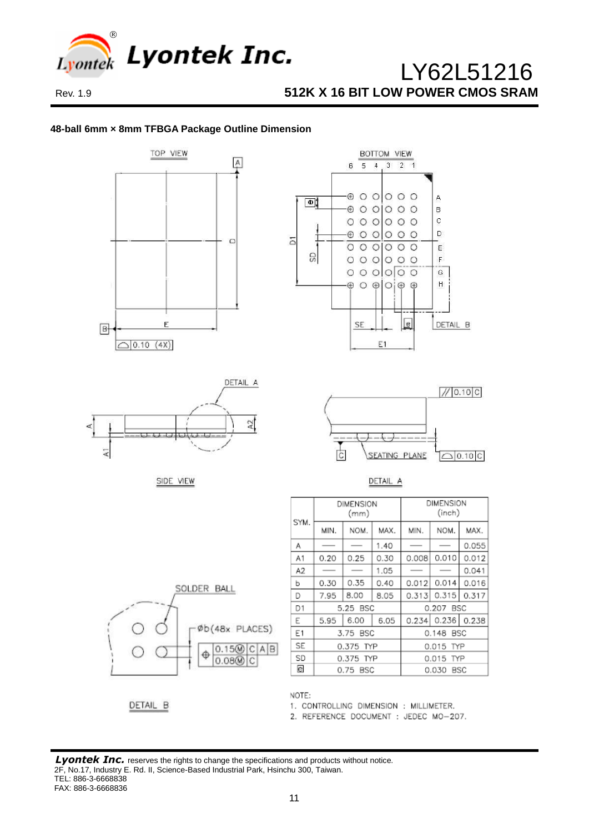

### **48-ball 6mm × 8mm TFBGA Package Outline Dimension**















| SYM.           | <b>DIMENSION</b><br>(mm) |      |      | DIMENSION<br>(inch) |                   |       |  |
|----------------|--------------------------|------|------|---------------------|-------------------|-------|--|
|                | MIN.                     | NOM. | MAX. | MIN.                | NOM.              | MAX.  |  |
| А              |                          |      | 1.40 |                     |                   | 0.055 |  |
| A1             | 0.20                     | 0.25 | 0.30 | 0.008               | 0.010             | 0.012 |  |
| A2             |                          |      | 1.05 |                     |                   | 0.041 |  |
| b              | 0.30                     | 0.35 | 0.40 | 0.012               | 0.014             | 0.016 |  |
| D              | 7.95                     | 8.00 | 8.05 | 0.313               | 0.315             | 0.317 |  |
| D <sub>1</sub> | 5.25 BSC                 |      |      | 0.207 BSC           |                   |       |  |
| E              | 5.95                     | 6.00 | 6.05 |                     | 0.234 0.236 0.238 |       |  |
| Ε1             | 3.75 BSC                 |      |      | 0.148 BSC           |                   |       |  |
| SE             | 0.375 TYP                |      |      | 0.015 TYP           |                   |       |  |
| SD             | 0.375 TYP                |      |      | 0.015 TYP           |                   |       |  |
| e              | 0.75 BSC                 |      |      | 0.030<br>BSC        |                   |       |  |

DETAIL B

NOTE:

1. CONTROLLING DIMENSION : MILLIMETER.

2. REFERENCE DOCUMENT : JEDEC MO-207.

**Lyontek Inc.** reserves the rights to change the specifications and products without notice. 2F, No.17, Industry E. Rd. II, Science-Based Industrial Park, Hsinchu 300, Taiwan. TEL: 886-3-6668838 FAX: 886-3-6668836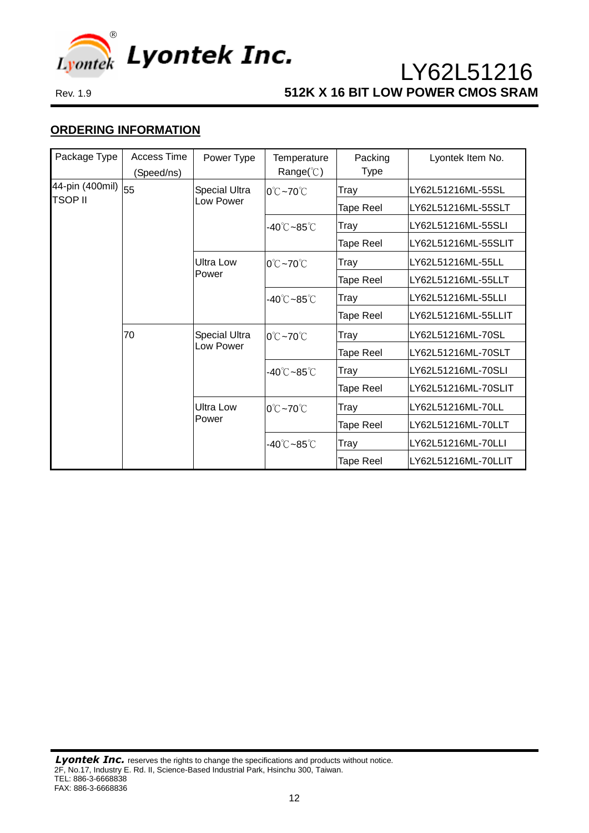

# **ORDERING INFORMATION**

| Package Type                        | Access Time<br>Power Type |                                   | Temperature                          | Packing     | Lyontek Item No.    |
|-------------------------------------|---------------------------|-----------------------------------|--------------------------------------|-------------|---------------------|
|                                     | (Speed/ns)                |                                   | Range( $\degree$ C)                  | <b>Type</b> |                     |
| 44-pin (400mil) $ _{55}$<br>TSOP II |                           | <b>Special Ultra</b><br>Low Power | $0^{\circ}$ C ~70 $^{\circ}$ C       | Tray        | LY62L51216ML-55SL   |
|                                     |                           |                                   |                                      | Tape Reel   | LY62L51216ML-55SLT  |
|                                     |                           |                                   | -40℃~85℃                             | Tray        | LY62L51216ML-55SLI  |
|                                     |                           |                                   |                                      | Tape Reel   | LY62L51216ML-55SLIT |
|                                     |                           | <b>Ultra Low</b><br>Power         | 0℃~70℃                               | Tray        | LY62L51216ML-55LL   |
|                                     |                           |                                   |                                      | Tape Reel   | LY62L51216ML-55LLT  |
|                                     |                           |                                   | -40℃~85℃                             | Tray        | LY62L51216ML-55LLI  |
|                                     |                           |                                   |                                      | Tape Reel   | LY62L51216ML-55LLIT |
|                                     | 70                        | <b>Special Ultra</b><br>Low Power | $0^{\circ}$ C $\sim$ 70 $^{\circ}$ C | Tray        | LY62L51216ML-70SL   |
|                                     |                           |                                   |                                      | Tape Reel   | LY62L51216ML-70SLT  |
|                                     |                           |                                   | $-40^{\circ}$ C $-85^{\circ}$ C      | Tray        | LY62L51216ML-70SLI  |
|                                     |                           |                                   |                                      | Tape Reel   | LY62L51216ML-70SLIT |
|                                     |                           | <b>Ultra Low</b><br>Power         | $0^{\circ}$ C ~70 $^{\circ}$ C       | Tray        | LY62L51216ML-70LL   |
|                                     |                           |                                   |                                      | Tape Reel   | LY62L51216ML-70LLT  |
|                                     |                           |                                   | -40℃~85℃                             | Tray        | LY62L51216ML-70LLI  |
|                                     |                           |                                   |                                      | Tape Reel   | LY62L51216ML-70LLIT |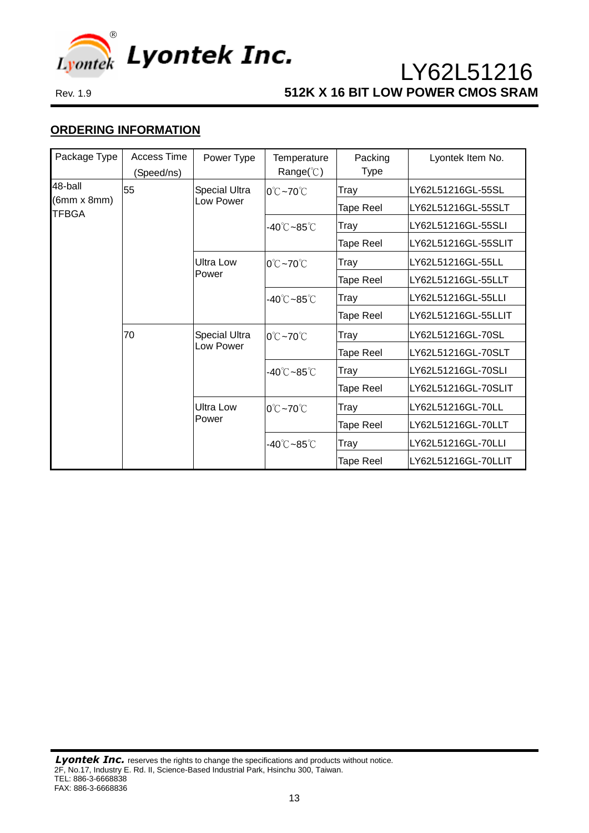

# **ORDERING INFORMATION**

| Package Type                                  | Access Time | Power Type                        | Temperature                             | Packing          | Lyontek Item No.    |  |
|-----------------------------------------------|-------------|-----------------------------------|-----------------------------------------|------------------|---------------------|--|
|                                               | (Speed/ns)  |                                   | $Range$ <sup>°</sup> $\cap$ <sup></sup> | <b>Type</b>      |                     |  |
| 48-ball<br>$(6mm \times 8mm)$<br><b>TFBGA</b> | 55          | <b>Special Ultra</b><br>Low Power | $0^{\circ}$ C ~70 $^{\circ}$ C          | Tray             | LY62L51216GL-55SL   |  |
|                                               |             |                                   |                                         | Tape Reel        | LY62L51216GL-55SLT  |  |
|                                               |             |                                   | -40℃~85℃                                | Tray             | LY62L51216GL-55SLI  |  |
|                                               |             |                                   |                                         | Tape Reel        | LY62L51216GL-55SLIT |  |
|                                               |             | <b>Ultra Low</b><br>Power         | $0^{\circ}$ C ~70 $^{\circ}$ C          | Tray             | LY62L51216GL-55LL   |  |
|                                               |             |                                   |                                         | Tape Reel        | LY62L51216GL-55LLT  |  |
|                                               |             |                                   | $-40^{\circ}$ C $-85^{\circ}$ C         | Tray             | LY62L51216GL-55LLI  |  |
|                                               |             |                                   |                                         | Tape Reel        | LY62L51216GL-55LLIT |  |
|                                               | 70          | Special Ultra<br>Low Power        | $0^{\circ}$ C ~70 $^{\circ}$ C          | Tray             | LY62L51216GL-70SL   |  |
|                                               |             |                                   |                                         | Tape Reel        | LY62L51216GL-70SLT  |  |
|                                               |             |                                   | $-40^{\circ}$ C $-85^{\circ}$ C         | Tray             | LY62L51216GL-70SLI  |  |
|                                               |             |                                   |                                         | Tape Reel        | LY62L51216GL-70SLIT |  |
|                                               |             | <b>Ultra Low</b><br>Power         | $0^{\circ}$ C ~70 $^{\circ}$ C          | Tray             | LY62L51216GL-70LL   |  |
|                                               |             |                                   |                                         | Tape Reel        | LY62L51216GL-70LLT  |  |
|                                               |             |                                   | -40℃~85℃                                | Tray             | LY62L51216GL-70LLI  |  |
|                                               |             |                                   |                                         | <b>Tape Reel</b> | LY62L51216GL-70LLIT |  |